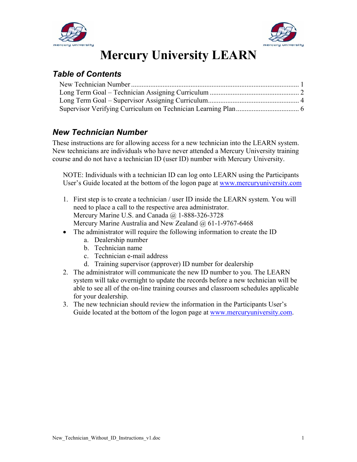



# **Mercury University LEARN**

### *Table of Contents*

#### *New Technician Number*

These instructions are for allowing access for a new technician into the LEARN system. New technicians are individuals who have never attended a Mercury University training course and do not have a technician ID (user ID) number with Mercury University.

NOTE: Individuals with a technician ID can log onto LEARN using the Participants User's Guide located at the bottom of the logon page at www.mercuryuniversity.com

- 1. First step is to create a technician / user ID inside the LEARN system. You will need to place a call to the respective area administrator. Mercury Marine U.S. and Canada @ 1-888-326-3728 Mercury Marine Australia and New Zealand @ 61-1-9767-6468
- The administrator will require the following information to create the ID
	- a. Dealership number
	- b. Technician name
	- c. Technician e-mail address
	- d. Training supervisor (approver) ID number for dealership
- 2. The administrator will communicate the new ID number to you. The LEARN system will take overnight to update the records before a new technician will be able to see all of the on-line training courses and classroom schedules applicable for your dealership.
- 3. The new technician should review the information in the Participants User's Guide located at the bottom of the logon page at www.mercuryuniversity.com.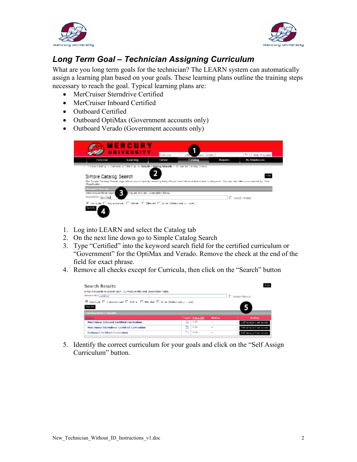



## *Long Term Goal – Technician Assigning Curriculum*

What are you long term goals for the technician? The LEARN system can automatically assign a learning plan based on your goals. These learning plans outline the training steps necessary to reach the goal. Typical learning plans are:

- MerCruiser Sterndrive Certified
- MerCruiser Inboard Certified
- Outboard Certified
- Outboard OptiMax (Government accounts only)
- Outboard Verado (Government accounts only)

| <b>Personal</b>                                | UNIVERSITY<br>Learne                                                                       | Welcome<br>Tareer | sarch Catallac<br>Catalog | Kapatt | Fire   7 Help   C Knoput<br>My Employees                                                                                                                 |
|------------------------------------------------|--------------------------------------------------------------------------------------------|-------------------|---------------------------|--------|----------------------------------------------------------------------------------------------------------------------------------------------------------|
|                                                | 1 There Catalog 1 Calendario Offenige # Simple Eataing Association Streamed Catalog Rearch |                   |                           |        |                                                                                                                                                          |
|                                                |                                                                                            |                   |                           |        |                                                                                                                                                          |
|                                                |                                                                                            |                   |                           |        |                                                                                                                                                          |
| Simple Catalog Search                          |                                                                                            |                   |                           |        | 126                                                                                                                                                      |
| <b>Chronological</b>                           |                                                                                            |                   |                           |        | The fample Cateling Gearth page allows you to search Learning Tren, Curriculum title and description by Reyword. You can also bless your search by Trem. |
| <b>Keywood Search</b>                          |                                                                                            |                   |                           |        |                                                                                                                                                          |
| Enter Keywords tro scare<br>Keywords: Californ | ٦<br>masium étic and ucacription ficida-                                                   |                   |                           |        | <b>C</b> Lynct Phrase                                                                                                                                    |

- 1. Log into LEARN and select the Catalog tab
- 2. On the next line down go to Simple Catalog Search
- 3. Type "Certified" into the keyword search field for the certified curriculum or "Government" for the OptiMax and Verado. Remove the check at the end of the field for exact phrase.
- 4. Remove all checks except for Curricula, then click on the "Search" button

| Enter Koywords to scorch Ibam, Curriculum title and Description fields.                                      |   |                  |        |                        |
|--------------------------------------------------------------------------------------------------------------|---|------------------|--------|------------------------|
| Knywords: Lestified                                                                                          |   |                  |        | E Exact Phrase         |
| $\boxtimes$ Carricula $\Box$ Instructor-bad $\Box$ Orifine $\Box$ Dianded $\Box$ Other (Salest one or more). |   |                  |        |                        |
| Sea ch                                                                                                       |   |                  |        |                        |
|                                                                                                              |   |                  |        |                        |
| <b>Catalog Search Results</b>                                                                                |   |                  |        |                        |
| Tills a                                                                                                      |   | Type   Price [8] | Status | <b>Action</b>          |
| NerCruiser Inboard Certified Curriculum                                                                      |   | n.m              | $-$    | celf Assign Curriou em |
| NerCruiser Memdrive Certified Curriculum                                                                     | ≞ | 0.00             | $\sim$ | Felt Assem Corrisonne  |

5. Identify the correct curriculum for your goals and click on the "Self Assign Curriculum" button.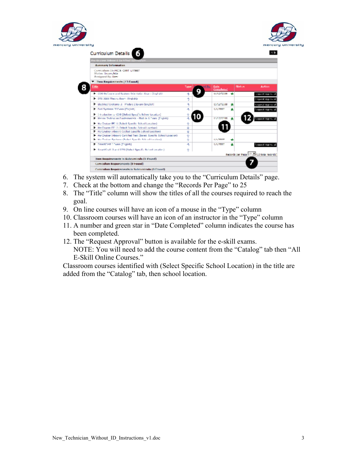



| <b>Mercruiser Inboard Certified Curriculu</b>                                |        |                    |                             |   |               |                                        |
|------------------------------------------------------------------------------|--------|--------------------|-----------------------------|---|---------------|----------------------------------------|
| Summary Information                                                          |        |                    |                             |   |               |                                        |
| Curriculum 10: PICIS CERT LATEST<br>Status: Incorrelate<br>Assigned By: User |        |                    |                             |   |               |                                        |
| T Then Requirements (13 Found)                                               |        |                    |                             |   |               |                                        |
| Title                                                                        | Twenty | <b>M. Bur</b><br>ο | <b>Baile</b><br>Consulleted |   | <b>Status</b> | Aution                                 |
| 1 COS Stallmann and Society Orleansfort Exam (English)                       | a      |                    | 11/12/2008                  |   |               | CRACK ADD V = 0                        |
| DTS 3006 Theory Exam (English)                                               | đ      |                    |                             |   |               | ing wat App You All                    |
| - Electrical Systems (1 - Pledule 2 lexam (English)                          | ã      |                    | 11/12/78 008                | ۰ |               | Grass of Approved                      |
| 1 Davi Systems III Evan (Enclah)                                             | д      |                    | <b>MA2001</b>               |   |               | <b>Crease of Approved</b>              |
| P. Discussion to COS (Saliad Spacific School Location)                       |        |                    |                             |   |               |                                        |
| . Manna Tachneum Dundamentals - Nodula 6 Down (Foolah)                       |        |                    | 11/12/2008                  |   |               | <b>Lique of Approval</b>               |
| 14 Mar Cruisen EFT 1 (School Specific School Location)                       | û      |                    |                             |   |               |                                        |
| · MarCourage FF1 2 (Salacti Spaculo: School Location)                        | Q      |                    |                             |   |               |                                        |
| 1 Mort builter inheater (sellest times the tichers) Location (               | Ÿ      |                    |                             |   |               |                                        |
| - HarCruicer Inboard Cartified Test (Select Specific School Location)        | ۰      |                    |                             |   |               |                                        |
| in MacConinae Spotterra (Sadar) Spardie School Location 3                    | ٠      |                    | <b>KAL/MINE</b>             |   |               |                                        |
| Convention 1 Down (English)                                                  | л      |                    | 1/1/2002                    |   |               | <b>Crowd Approval</b>                  |
| in SmartCraft (Earn) DTS (Select Specific School Location).                  | ÷      |                    |                             |   |               |                                        |
|                                                                              |        |                    |                             |   |               | Records per Rega 35 213 total records) |
| Item Requirements in Subcurricula (0 Found)                                  |        |                    |                             |   |               |                                        |

- 6. The system will automatically take you to the "Curriculum Details" page.
- 7. Check at the bottom and change the "Records Per Page" to 25
- 8. The "Title" column will show the titles of all the courses required to reach the goal.
- 9. On line courses will have an icon of a mouse in the "Type" column
- 10. Classroom courses will have an icon of an instructor in the "Type" column
- 11. A number and green star in "Date Completed" column indicates the course has been completed.
- 12. The "Request Approval" button is available for the e-skill exams. NOTE: You will need to add the course content from the "Catalog" tab then "All E-Skill Online Courses."

Classroom courses identified with (Select Specific School Location) in the title are added from the "Catalog" tab, then school location.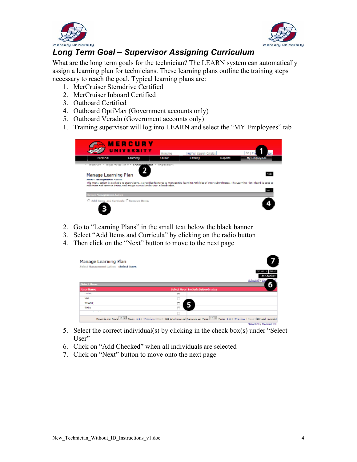



## *Long Term Goal – Supervisor Assigning Curriculum*

What are the long term goals for the technician? The LEARN system can automatically assign a learning plan for technicians. These learning plans outline the training steps necessary to reach the goal. Typical learning plans are:

- 1. MerCruiser Sterndrive Certified
- 2. MerCruiser Inboard Certified
- 3. Outboard Certified
- 4. Outboard OptiMax (Government accounts only)
- 5. Outboard Verado (Government accounts only)
- 1. Training supervisor will log into LEARN and select the "MY Employees" tab

|                                                                               | <b>MERCURY</b><br><b>UNIVERSITY</b>                                     | Walcome | Heme I Search Catalog |         | <b>BAIT</b>                                                                                                                                                               |
|-------------------------------------------------------------------------------|-------------------------------------------------------------------------|---------|-----------------------|---------|---------------------------------------------------------------------------------------------------------------------------------------------------------------------------|
| Personal                                                                      | Learning                                                                | Career  | Catalog               | Reports | <b>My Employees</b>                                                                                                                                                       |
| Manage Learning Plan<br>Select Hansgement Action                              |                                                                         |         |                       |         |                                                                                                                                                                           |
|                                                                               | additional and remove thems, and easign currentum in your automionates. |         |                       |         | this menu option is available to supervisors. It provides features to manage the learning Activities of your subordinates. The Learning Han wizard is used to<br>h at all |
|                                                                               |                                                                         |         |                       |         |                                                                                                                                                                           |
| <b>Select Hanagement Action</b><br>C. Add Herry and Carricula: C Remove Berns |                                                                         |         |                       |         |                                                                                                                                                                           |

- 2. Go to "Learning Plans" in the small text below the black banner
- 3. Select "Add Items and Curricula" by clicking on the radio button
- 4. Then click on the "Next" button to move to the next page

| Manage Learning Plan<br>Solact Hanagement Action (Select Users |                                                                                                                                                                         |  |
|----------------------------------------------------------------|-------------------------------------------------------------------------------------------------------------------------------------------------------------------------|--|
|                                                                |                                                                                                                                                                         |  |
| <b>Select Basis</b>                                            | <b>SCIECIAII</b> / Lice                                                                                                                                                 |  |
| User Name                                                      | Select User Include Subordinates                                                                                                                                        |  |
| <b>Condition</b>                                               | o                                                                                                                                                                       |  |
| <b>Van</b>                                                     |                                                                                                                                                                         |  |
| WANT.                                                          |                                                                                                                                                                         |  |
| Webs.                                                          |                                                                                                                                                                         |  |
| $\cdots$<br>$\sim$                                             | п                                                                                                                                                                       |  |
|                                                                | Parce de per Parcel <sup>[10]</sup> Pages 1.2.2 - Previous   Nort - (23 total records) Parcela per Page <sup>[22]</sup> Pages 1.2.3 - Previous   North (22 total woods) |  |
|                                                                | <b>Salam All J Daniari All</b>                                                                                                                                          |  |

- 5. Select the correct individual(s) by clicking in the check box(s) under "Select User"
- 6. Click on "Add Checked" when all individuals are selected
- 7. Click on "Next" button to move onto the next page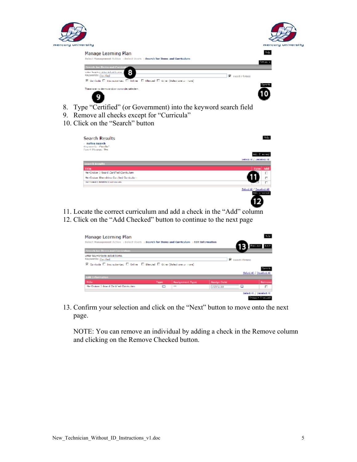



- 8. Type "Certified" (or Government) into the keyword search field
- 9. Remove all checks except for "Curricula"
- 10. Click on the "Search" button

G)

| <b>Search Results</b><br><b>Befine Search</b><br><b>Registrative Continued</b><br><b>Fract Phrases Yes</b> | ti L                                     |
|------------------------------------------------------------------------------------------------------------|------------------------------------------|
|                                                                                                            | Ad. C wored                              |
|                                                                                                            | Select All / Uncelect All                |
| <b>Scorch Results</b>                                                                                      |                                          |
| Title.                                                                                                     | Add<br>Type:                             |
| Hendruiser Inheard Cartified Curriculum                                                                    | п                                        |
| Mer Cruiser Sterrichker Certified Curriculum                                                               | п                                        |
| CREPTAGING CONTRACTOR CONTRACTORS                                                                          | п                                        |
|                                                                                                            | Select all / Decelect all<br>ed: unsered |

- 11. Locate the correct curriculum and add a check in the "Add" column
- 12. Click on the "Add Checked" button to continue to the next page

| Manage Learning Plan                                                                         |       |                        |                    |                | 4a br                     |
|----------------------------------------------------------------------------------------------|-------|------------------------|--------------------|----------------|---------------------------|
| Beloct Management Action : Belect Users : Search for Items and Curriculum : Edit Information |       |                        |                    |                |                           |
| <b>Search for Bens and Curriculum</b>                                                        |       |                        |                    |                |                           |
| Enter lesvwerds to select items.<br>Keywords: Certified                                      |       |                        |                    | R Exact Phrase |                           |
| 区 Cunicale E. Instructor-Led E. Orline E. Blended E. Other (Beled une un mune)               |       |                        |                    |                |                           |
|                                                                                              |       |                        |                    |                |                           |
|                                                                                              |       |                        |                    |                | Select Al / Deselect Al   |
| Edit Information                                                                             |       |                        |                    |                |                           |
| Title                                                                                        | Type: | <b>Assignment Type</b> | <b>Assign Date</b> |                | Remove                    |
| Net Croiser Edgar di Certified Controllant                                                   | ▭     | $-0.05$                | 1/21/2010          |                | п                         |
|                                                                                              |       |                        |                    |                | Select All / Decelect All |
|                                                                                              |       |                        |                    |                | _______                   |

13. Confirm your selection and click on the "Next" button to move onto the next page.

NOTE: You can remove an individual by adding a check in the Remove column and clicking on the Remove Checked button.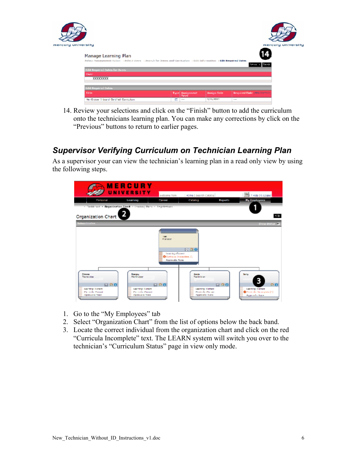

14. Review your selections and click on the "Finish" button to add the curriculum onto the technicians learning plan. You can make any corrections by click on the "Previous" buttons to return to earlier pages.

#### *Supervisor Verifying Curriculum on Technician Learning Plan*

As a supervisor your can view the technician's learning plan in a read only view by using the following steps.



- 1. Go to the "My Employees" tab
- 2. Select "Organization Chart" from the list of options below the back band.
- 3. Locate the correct individual from the organization chart and click on the red "Curricula Incomplete" text. The LEARN system will switch you over to the technician's "Curriculum Status" page in view only mode.